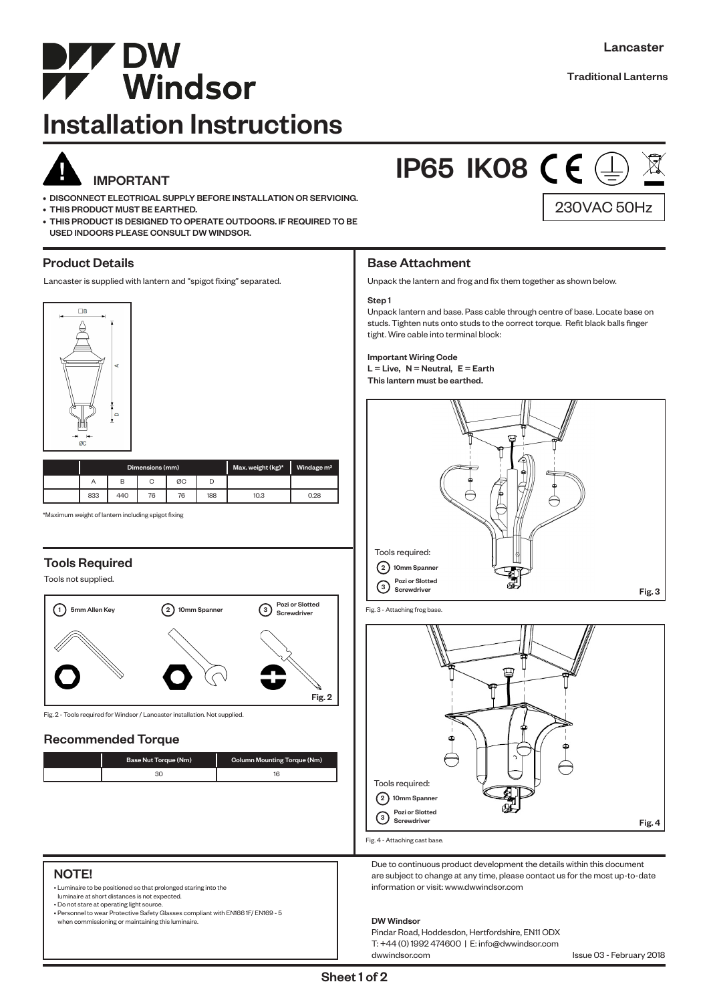

# Installation Instructions



# IMPORTANT

- DISCONNECT ELECTRICAL SUPPLY BEFORE INSTALLATION OR SERVICING.
- THIS PRODUCT MUST BE EARTHED.
- THIS PRODUCT IS DESIGNED TO OPERATE OUTDOORS. IF REQUIRED TO BE USED INDOORS PLEASE CONSULT DW WINDSOR.

# Product Details

Lancaster is supplied with lantern and "spigot fixing" separated.



| Dimensions (mm) |     |    |    |     | Max. weight (kg)* | Windage m <sup>2</sup> |
|-----------------|-----|----|----|-----|-------------------|------------------------|
| Α               |     |    | ØC |     |                   |                        |
| 833             | 440 | 76 | 76 | 188 | 10.3              | 0.28                   |

\*Maximum weight of lantern including spigot fixing

# Tools Required

Tools not supplied.



Fig. 2 - Tools required for Windsor / Lancaster installation. Not supplied.

## Recommended Torque

| Base Nut Torque (Nm) | Column Mounting Torque (Nm) |
|----------------------|-----------------------------|
|                      |                             |

# 230VAC 50Hz **IP65 IK08 CE**

# Base Attachment

Unpack the lantern and frog and fix them together as shown below.

#### Step 1

Unpack lantern and base. Pass cable through centre of base. Locate base on studs. Tighten nuts onto studs to the correct torque. Refit black balls finger tight. Wire cable into terminal block:

#### Important Wiring Code  $L =$  Live,  $N =$  Neutral,  $E =$  Earth This lantern must be earthed.



Fig. 3 - Attaching frog base.



Fig. 4 - Attaching cast base.

Due to continuous product development the details within this document are subject to change at any time, please contact us for the most up-to-date information or visit: www.dwwindsor.com

#### DW Windsor

Pindar Road, Hoddesdon, Hertfordshire, EN11 ODX T: +44 (0) 1992 474600 | E: info@dwwindsor.com

Issue 03 - February 2018

#### NOTE!

• Luminaire to be positioned so that prolonged staring into the

luminaire at short distances is not expected. • Do not stare at operating light source.

• Personnel to wear Protective Safety Glasses compliant with EN166 1F/ EN169 - 5

when commissioning or maintaining this luminaire.